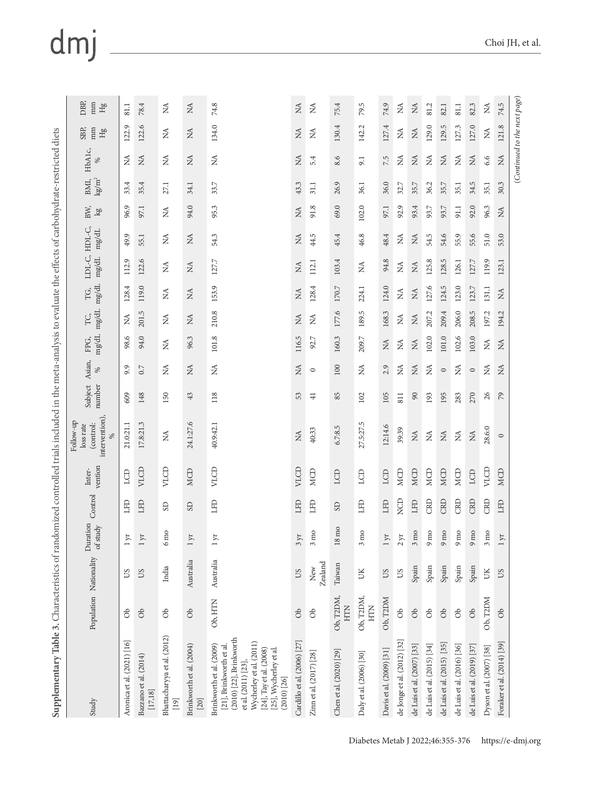## dmj

| Supplementary Table 3. Characteristics of randomized controlled trials included in the meta-analysis to evaluate the effects of carbohydrate-restricted diets                                               |                                                                                                                       |                        |                              |            |                   |                                                       |                   |                |                              |                                          |              |                 |                            |                              |                           |                                |                            |                        |
|-------------------------------------------------------------------------------------------------------------------------------------------------------------------------------------------------------------|-----------------------------------------------------------------------------------------------------------------------|------------------------|------------------------------|------------|-------------------|-------------------------------------------------------|-------------------|----------------|------------------------------|------------------------------------------|--------------|-----------------|----------------------------|------------------------------|---------------------------|--------------------------------|----------------------------|------------------------|
| Study                                                                                                                                                                                                       |                                                                                                                       | Population Nationality | Duration<br>of study         | Control    | vention<br>Inter- | intervention),<br>Follow-up<br>(control:<br>loss rate | Subject<br>number | Asian,<br>$\%$ | $\rm mg/dL$<br>FPG,          | $\rm mg/dL$<br>TC,                       | mg/dL<br>TG, | LDL-C,<br>mg/dL | HDL-C,<br>$\mathrm{mg/dL}$ | BW,<br>lg                    | kg/m <sup>2</sup><br>BMI, | HbA1c,<br>ళ                    | SBP,<br>mm<br>$\rm{g}_{H}$ | DBP,<br>mm<br>$\rm Hg$ |
| Aronica et al. (2021) [16]                                                                                                                                                                                  | $\delta$                                                                                                              | SU                     | 1yr                          | <b>GHT</b> | LCD               | 21.0:21.1                                             | 609               | 9.9            | 98.6                         | ≸                                        | 128.4        | Q<br>112.       | 49.9                       | 96.9                         | 33.4                      | ≸                              | 122.9                      | 81.1                   |
| Bazzano et al. (2014)<br>$\left[ 17, 18 \right]$                                                                                                                                                            | $\delta$                                                                                                              | <b>CO</b>              | $1 \, yr$                    | LFD        | VLCD              | 17.8:21.3                                             | 148               | 0.7            | 94.0                         | 201.5                                    | 119.0        | 122.6           | 55.1                       | 97.1                         | 35.4                      | $\lesssim$                     | 122.6                      | 78.4                   |
| Bhattacharyya et al. (2012)<br>$[19]$                                                                                                                                                                       | ර්                                                                                                                    | India                  | $6 \text{ m}$                | <b>GS</b>  | VLCD              | ≸                                                     | 150               | ≸              | $\stackrel{\triangle}{\geq}$ | $\stackrel{\triangle}{\geq}$             | ₹            | ≸               | ₹                          | $\stackrel{\triangle}{\geq}$ | 27.1                      | ≸                              | ≸                          | ≸                      |
| Brinkworth et al. (2004)<br>$[20]$                                                                                                                                                                          | $\infty$                                                                                                              | Australia              | $1 \, yr$                    | GS         | <b>MCD</b>        | 24.1:27.6                                             | 43                | $\lesssim$     | 96.3                         | $\lesssim$                               | $\lesssim$   | $\lesssim$      | $\lessapprox$              | 94.0                         | 34.1                      | $\lesssim$                     | $\lesssim$                 | $\lesssim$             |
| $(2010)$ $[22]$ , Brinkworth<br>Wycherley et al. (2011)<br>Brinkworth et al. (2009)<br>[21], Brinkworth et al.<br>[24], Tay et al. (2008)<br>[25], Wycherley et al.<br>et al. (2011) [23],<br>$(2010)$ [26] | Ob, HTN                                                                                                               | Australia              | $1 \, yr$                    | EE         | VLCD              | 40.9:42.1                                             | 118               | Ź              | 101.8                        | 210.8                                    | 153.9        | 127.7           | 54.3                       | 95.3                         | 33.7                      | É                              | 134.0                      | 74.8                   |
| Cardillo et al. (2006) [27]                                                                                                                                                                                 | $\delta$                                                                                                              | SQ                     | $3 \, yr$                    | LFD        | VLCD              | $\lesssim$                                            | 53                | $\mathbb{X}$   | 116.5                        | $\lesssim$                               | $\lesssim$   | $\lesssim$      | ≸                          | $\lesssim$                   | 43.3                      | $\mathbb{X}$                   | $\lesssim$                 | $\lesssim$             |
| Zinn et al. (2017) [28]                                                                                                                                                                                     | රි                                                                                                                    | Zealand<br>New         | $3\,\mathrm{mo}$             | <b>GET</b> | <b>MCD</b>        | 40:33                                                 | $\frac{1}{4}$     | $\circ$        | 92.7                         | $\mathbb{X}$                             | 128.4        | 112.1           | 44.5                       | 91.8                         | 31.1                      | 5.4                            | $\lessapprox$              | ≸                      |
| Chen et al. (2020) [29]                                                                                                                                                                                     | Ob, T2DM,<br><b>HTN</b>                                                                                               | Taiwan                 | mo<br>18                     | <b>GS</b>  | LCD               | 6.7:8.5                                               | 85                | $100\,$        | 160.3                        | 177.6                                    | 170.7        | 103.4           | 45.4                       | 69.0                         | 26.9                      | 8.6                            | 130.4                      | 75.4                   |
| Daly et al. (2006) [30]                                                                                                                                                                                     | Ob, T2DM,<br><b>HTN</b>                                                                                               | UK                     | $3 \text{ mo}$               | LFD        | ECD               | 27.5:27.5                                             | 102               | Ź              | 209.7                        | 189.5                                    | 224.1        | ≸               | 46.8                       | 102.0                        | 36.1                      | 9.1                            | 142.2                      | 79.5                   |
| Davis et al. (2009) [31]                                                                                                                                                                                    | Ob, T2DM                                                                                                              | SQ                     | 1yr                          | LFD        | LCD               | 12:14.6                                               | 105               | 2.9            | $\lesssim$                   | 168.3                                    | 124.0        | 94.8            | 48.4                       | 97.1                         | 36.0                      | 7.5                            | 127.4                      | 74.9                   |
| de Jonge et al. (2012) [32]                                                                                                                                                                                 | ට්                                                                                                                    | <b>CO</b>              | 2yr                          | <b>Q</b>   | MCD               | 39:39                                                 | 811               | $\lesssim$     | $\lesssim$                   | $\stackrel{\triangle}{\scriptstyle\sim}$ | ₹            | Ź               | ≸                          | 92.9                         | 32.7                      | ≸                              | ≸                          | ≸                      |
| de Luis et al. (2007) [33]                                                                                                                                                                                  | $\infty$                                                                                                              | Spain                  | $3 \, \mathrm{m}$            | LFD        | <b>MCD</b>        | $\lesssim$                                            | $90$              | MA             | $\lesssim$                   | $\lesssim$                               | $\lesssim$   | $\lesssim$      | $\lessapprox$              | 93.4                         | 35.7                      | MA                             | $\lesssim$                 | $\lesssim$             |
| de Luis et al. (2015) [34]                                                                                                                                                                                  | $\mathcal{S}% _{M_{1},M_{2}}^{\alpha,\beta}(\mathcal{A})\subset\mathcal{A}_{M_{1},M_{2}}^{\alpha,\beta}(\mathcal{A})$ | Spain                  | $9\,\mathrm{m}$ $\mathrm{O}$ | CRD        | MCD               | $\lesssim$                                            | 193               | Ź              | 102.0                        | 207.2                                    | 127.6        | 125.8           | 54.5                       | 93.7                         | 36.2                      | Ź                              | 129.0                      | 81.2                   |
| de Luis et al. (2015) [35]                                                                                                                                                                                  | $\delta$                                                                                                              | Spain                  | $9 \,\rm{m}$ $\rm{O}$        | CRD        | MCD               | $\lesssim$                                            | 195               | $\circ$        | 101.0                        | 209.4                                    | 124.5        | 128.5           | 54.6                       | 93.7                         | 35.7                      | $\mathbb{X}$                   | 129.5                      | 82.1                   |
| de Luis et al. (2016) [36]                                                                                                                                                                                  | $\mathcal{S}% _{M_{1},M_{2}}^{\alpha,\beta}(\mathcal{A})\subset\mathcal{A}_{M_{1},M_{2}}^{\alpha,\beta}(\mathcal{A})$ | Spain                  | $9\,\mathrm{m}$ $\mathrm{O}$ | CRD        | MCD               | ₹                                                     | 283               | ≸              | 102.6                        | 206.0                                    | 123.0        | 126.1           | 55.9                       | 91.1                         | 35.1                      | ≸                              | 127.3                      | $\overline{8}$ 1.1     |
| de Luis et al. (2019) [37]                                                                                                                                                                                  | $\delta$                                                                                                              | Spain                  | $9 \text{ mo}$               | CRD        | LCD               | $\stackrel{\triangle}{\approx}$                       | 270               | $\circ$        | 103.0                        | 208.5                                    | 123.7        | 127.7           | 55.6                       | 92.0                         | 34.5                      | $\lesssim$                     | 127.0                      | 82.3                   |
| Dyson et al. (2007) [38]                                                                                                                                                                                    | Ob, T2DM                                                                                                              | UK                     | $3 \text{ mo}$               | CRD        | VLCD              | 28.6:0                                                | 26                | Ź              | $\lesssim$                   | 197.2                                    | 131.1        | 119.9           | 51.0                       | 96.3                         | 35.1                      | 6.6                            | $\lesssim$                 | ≸                      |
| Foraker et al. (2014) [39]                                                                                                                                                                                  | ර්                                                                                                                    | US                     | $1 \, yr$                    | LFD        | <b>MCD</b>        | $\circ$                                               | 54                | Z              | Z                            | 194.2                                    | MA           | 123.1           | 53.0                       | MA                           | 30.3                      | $\stackrel{\triangle}{\simeq}$ | 121.8                      | 74.5                   |
|                                                                                                                                                                                                             |                                                                                                                       |                        |                              |            |                   |                                                       |                   |                |                              |                                          |              |                 |                            |                              |                           | (Continued to the next page)   |                            |                        |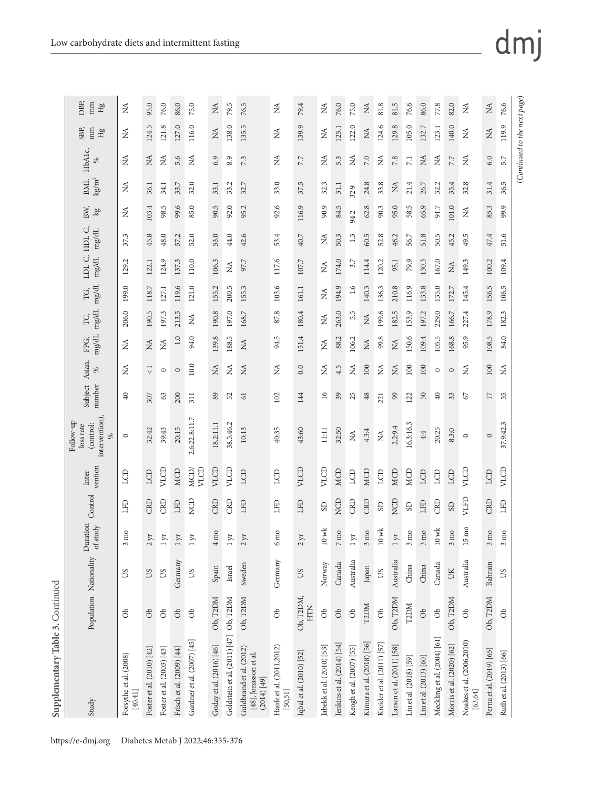| l<br>l<br>i<br>ו<br>ו<br>ł<br>l<br>I          |
|-----------------------------------------------|
| ì<br>I                                        |
| i<br>1、大地名 1、大地<br>:<br>;<br>;<br>I<br>j<br>ζ |

| DBP,<br>mm<br>$\rm Hg$<br>mm<br>SBP,<br>ЯH            | ₹<br>≸                              | 95.0<br>124.5             | 76.0<br>121.8             | 86.0<br>127.0             | 75.0<br>116.0              | $\lesssim$<br>$\lesssim$ | 79.5<br>138.0                            | 76.5<br>135.5                                                     | ≸<br>≸                               | 79.4<br>139.9              | ₹<br>₹                    | 76.0<br>125.1                  | 75.0<br>122.0            | NA<br>$\tilde{\mathbf{X}}$ | 81.8<br>124.6              | 81.5<br>129.8               | 76.6<br>105.0          | 86.0<br>132.7          | 77.8<br>123.1               | 82.0<br>140.0             | ≸<br>Ź                                | $\lesssim$<br>$\lesssim$ | 76.6<br>119.9           |
|-------------------------------------------------------|-------------------------------------|---------------------------|---------------------------|---------------------------|----------------------------|--------------------------|------------------------------------------|-------------------------------------------------------------------|--------------------------------------|----------------------------|---------------------------|--------------------------------|--------------------------|----------------------------|----------------------------|-----------------------------|------------------------|------------------------|-----------------------------|---------------------------|---------------------------------------|--------------------------|-------------------------|
| HbA1c,<br>%                                           | Ź                                   | MA                        | Ź                         | 5.6                       | Ź                          | 6.9                      | 8.9                                      | 7.3                                                               | ≸                                    | 7.7                        | ₹                         | 5.3                            | $\mathbb{E}$             | 7.0                        | $\tilde{\mathbf{z}}$       | 7.8                         | $\overline{7.1}$       | Z                      | ₹                           | 7.7                       | Ź                                     | 6.0                      | 5.7                     |
| $\mathrm{kg} \mathrm{m}^2$<br>BMI,                    | ≸                                   | 36.1                      | 34.1                      | 33.7                      | 32.0                       | 33.1                     | 33.2                                     | 32.7                                                              | 33.0                                 | 37.5                       | 32.3                      | 31.1                           |                          | 24.8                       | 33.8                       | Ź                           | 21.4                   | 26.7                   | 32.2                        | 35.4                      | 32.8                                  | 31.4                     | 36.5                    |
| BW,<br>lgo                                            | ≸                                   | 103.4                     | 98.5                      | 99.6                      | 85.0                       | 90.5                     | 92.0                                     | 95.2                                                              | 92.6                                 | 116.9                      | 90.9                      | 84.5                           | 32.9                     | 62.8                       | 90.3                       | 95.0                        | 58.5                   | 65.9                   | 91.7                        | 101.0                     | Ź                                     | 85.3                     | 99.9                    |
| $\rm mg/dL$                                           | 37.3                                | 45.8                      | 48.0                      | 57.2                      | 52.0                       | 53.0                     | 44.0                                     | 42.6                                                              | 53.4                                 | 40.7                       | ≸                         | 50.3                           | 94.2<br>1.3              | 60.5                       | 52.8                       | 46.2                        | 56.7                   | 51.8                   | 50.5                        | 45.2                      | 49.5                                  | 47.4                     | 51.6                    |
| LDL-C, HDL-C,                                         |                                     |                           |                           |                           |                            |                          |                                          | 97.7                                                              |                                      |                            |                           |                                | 3.7                      |                            |                            |                             | 79.9                   |                        |                             |                           |                                       |                          |                         |
| $mg/dL$                                               | 129.2                               | 122.1                     | 124.9                     | 137.3                     | 110.0                      | 106.3                    | Z                                        |                                                                   | 117.6                                | 107.7                      | ÁN                        | 174.0                          |                          | 114.4                      | 120.2                      | 95.1                        |                        | 130.3                  | 167.0                       | $\lesssim$                | 149.3                                 | 100.2                    | 109.4                   |
| $\rm mg/dL$<br>ŗG,                                    | 199.0                               | 118.7                     | 127.1                     | 119.6                     | 121.0                      | 155.2                    | 200.5                                    | 155.3                                                             | 103.6                                | 161.1                      | ₹                         | 194.9                          | 1.6                      | 140.3                      | 136.3                      | 210.8                       | 116.9                  | 133.8                  | 135.0                       | 172.7                     | 145.4                                 | 156.5                    | 106.5                   |
| $\rm mg/dL$<br>TC,                                    | 206.0                               | 190.5                     | 197.3                     | 213.5                     | $\lesssim$                 | 190.8                    | 197.0                                    | 168.7                                                             | 87.8                                 | 180.4                      | ÁN                        | 263.0                          | 5.5                      | $\tilde{M}$                | 199.6                      | 182.5                       | 153.9                  | 197.2                  | 229.0                       | 166.7                     | 227.4                                 | 178.9                    | 182.3                   |
| $\rm mg/dL$<br>FPG,                                   | Ź                                   | Z                         | É                         | 1.0                       | 94.0                       | 139.8                    | 188.5                                    | $\lesssim$                                                        | 94.5                                 | 151.4                      | Ź                         | 88.2                           | 106.2                    | $\lesssim$                 | 99.8                       | $\lesssim$                  | 150.6                  | 109.4                  | 105.5                       | 168.8                     | 95.9                                  | 108.5                    | 84.0                    |
| Asian,<br>%                                           | Ź                                   | $\overline{\vee}$         | $\circ$                   | $\circ$                   | $10.0$                     | $\tilde{\mathbf{z}}$     | É                                        | Z                                                                 | Z                                    | 0.0                        | ₹                         | 4.5                            | É                        | 100                        | $\tilde{z}$                | $\mathbb{X}$                | 100                    | 100                    | $\circ$                     | $\circ$                   | $\tilde{\mathbf{z}}$                  | 100                      | $\tilde{z}$             |
| number<br>Subject                                     | $\overline{40}$                     | 307                       | 63                        | 200                       | 311                        | 89                       | 52                                       | 61                                                                | 102                                  | 144                        | $\overline{16}$           | 39                             | 25                       | 48                         | 221                        | 99                          | 122                    | $50\,$                 | $\overline{40}$             | 33                        | $\mathcal{L}$                         | $\overline{17}$          | 55                      |
| intervention),<br>Follow-up<br>(control:<br>loss rate | $\circ$                             | 32:42                     | 39:43                     | 20:15                     | 2.6:22.8:11.7              | 18.2:11.1                | 38.5:46.2                                | 10:13                                                             | 40:35                                | 43:60                      | $\frac{111}{111}$         | 32:50                          | É                        | 4.3:4                      | Z                          | 2.2.9.4                     | 16.3:16.3              | 4:4                    | 20:25                       | 8.3:0                     | $\circ$                               | $\circ$                  | 37.9:42.3               |
| vention<br>Inter-                                     | LCD                                 | LCD                       | VLCD                      | MCD                       | VLCD<br>MCD/               | VLCD                     | VLCD                                     | LCD                                                               | LCD                                  | VLCD                       | VLCD                      | MCD                            | LCD                      | <b>MCD</b>                 | LCD                        | MCD                         | MCD                    | LCD                    | LCD                         | LCD                       | VLCD                                  | LCD                      | VLCD                    |
| Control                                               | EE                                  | CRD                       | CRD                       | LFD                       | <b>NCD</b>                 | CRD                      | CRD                                      | LFD                                                               | <b>CHT</b>                           | <b>CETT</b>                | $_{\rm{3D}}$              | NCD                            | CRD                      | CRD                        | GS                         | NCD                         | GS                     | LFD                    | CRD                         | GS                        | VLFD                                  | CRD                      | EED                     |
| ration<br>of study<br>Dur                             | mo<br>3                             | Σr.<br>$\mathcal{L}$      | $\overline{\mu}$          | $\lambda\rm L$            | $\upmu$                    | mo<br>4                  | $\mathbb{R}$<br>$\overline{\phantom{0}}$ | X<br>$\mathcal{L}$                                                | mo<br>$\circ$                        | $\lambda$<br>$\mathcal{L}$ | $10\,\rm wk$              | mo<br>$\overline{\phantom{a}}$ | $\overline{Y}$           | mo<br>3                    | $10 \,\rm wk$              | $\lambda$<br>$\overline{a}$ | mo<br>$\mathfrak{S}$   | mo<br>$\mathfrak{S}$   | $10$ wk                     | mo<br>$\mathfrak{S}$      | mo<br>15                              | mo<br>3                  | mo<br>$\mathfrak{c}$    |
|                                                       | SU                                  | SQ                        | <b>CO</b>                 | Germany                   | $\rm \,50$                 | Spain                    | Israel                                   | Sweden                                                            | Germany                              | SQ                         | Norway                    | Canada                         | Australia                | Japan                      | <b>CO</b>                  | Australia                   | China                  | China                  | Canada                      | UK                        | Australia                             | Bahrain                  | <b>CO</b>               |
| Population Nationality                                | $\delta$                            | $\delta$                  | $\delta$                  | $\delta$                  | $\delta$                   | Ob, T2DM                 |                                          | Ob, T2DM                                                          | db                                   | Ob, T2DM,<br><b>HTN</b>    | ර්                        | $\infty$                       | $\partial$               | T2DM                       | $\delta$                   | Ob, T2DM                    | T2DM                   | $\delta$               | $\delta$                    | Ob, T2DM                  | ð                                     | Ob, T2DM                 | $\delta$                |
| Study                                                 | Forsythe et al. (2008)<br>$[40,41]$ | Foster et al. (2010) [42] | Foster et al. (2003) [43] | Frisch et al. (2009) [44] | Gardner et al. (2007) [45] | Goday et al. (2016) [46] | Goldstein et al. (2011) [47] Ob, T2DM    | Guldbrand et al. (2012)<br>[48], Jonasson et al.<br>$(2014)$ [49] | Haufe et al. (2011,2012)<br>[50, 51] | Iqbal et al. (2010) [52]   | Jabekk et al. (2010) [53] | Jenkins et al. (2014) [54]     | Keogh et al. (2007) [55] | Kimura et al. (2018) [56]  | Kreider et al. (2011) [57] | Larsen et al. (2011) [58]   | Liu et al. (2018) [59] | Liu et al. (2013) [60] | Meckling et al. (2004) [61] | Morris et al. (2020) [62] | Noakes et al. (2006,2010)<br>[63, 64] | Perna et al. (2019) [65] | Ruth et al. (2013) [66] |

(*Continued to the next page*)

 $\left( {Continued\ to\ the\ next\ page} \right)$